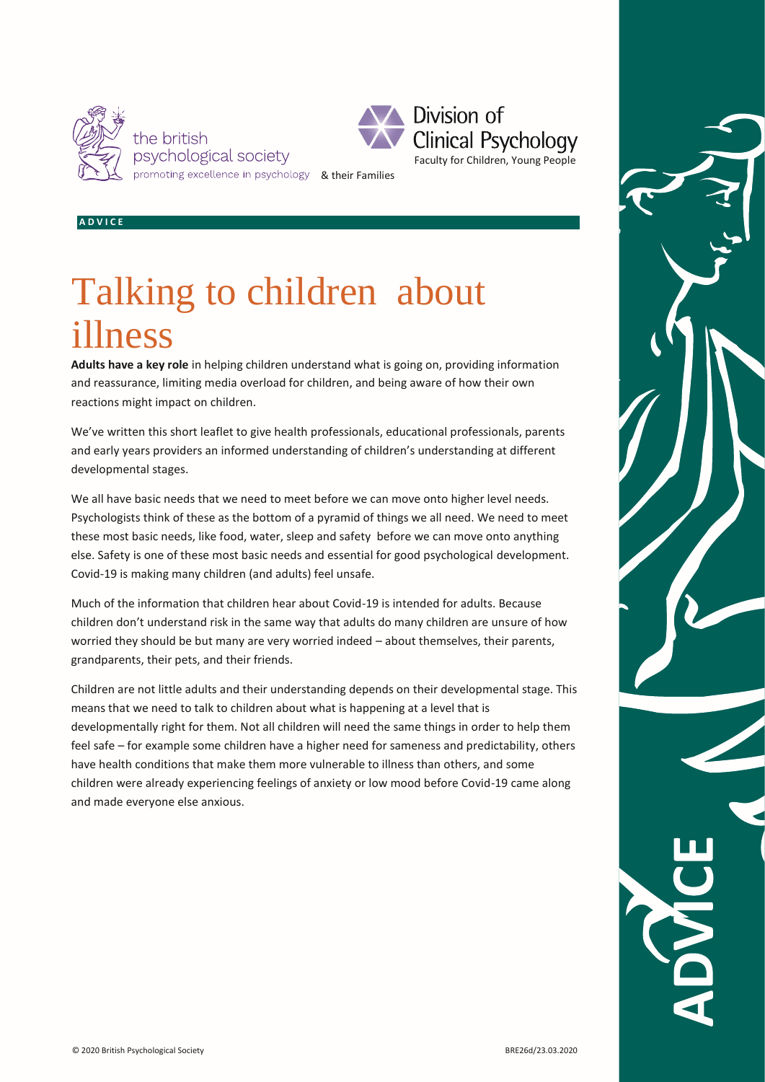



#### **A D V I C E**

# Talking to children about illness

**Adults have a key role** in helping children understand what is going on, providing information and reassurance, limiting media overload for children, and being aware of how their own reactions might impact on children.

We've written this short leaflet to give health professionals, educational professionals, parents and early years providers an informed understanding of children's understanding at different developmental stages.

We all have basic needs that we need to meet before we can move onto higher level needs. Psychologists think of these as the bottom of a pyramid of things we all need. We need to meet these most basic needs, like food, water, sleep and safety before we can move onto anything else. Safety is one of these most basic needs and essential for good psychological development. Covid-19 is making many children (and adults) feel unsafe.

Much of the information that children hear about Covid-19 is intended for adults. Because children don't understand risk in the same way that adults do many children are unsure of how worried they should be but many are very worried indeed – about themselves, their parents, grandparents, their pets, and their friends.

Children are not little adults and their understanding depends on their developmental stage. This means that we need to talk to children about what is happening at a level that is developmentally right for them. Not all children will need the same things in order to help them feel safe – for example some children have a higher need for sameness and predictability, others have health conditions that make them more vulnerable to illness than others, and some children were already experiencing feelings of anxiety or low mood before Covid-19 came along and made everyone else anxious.

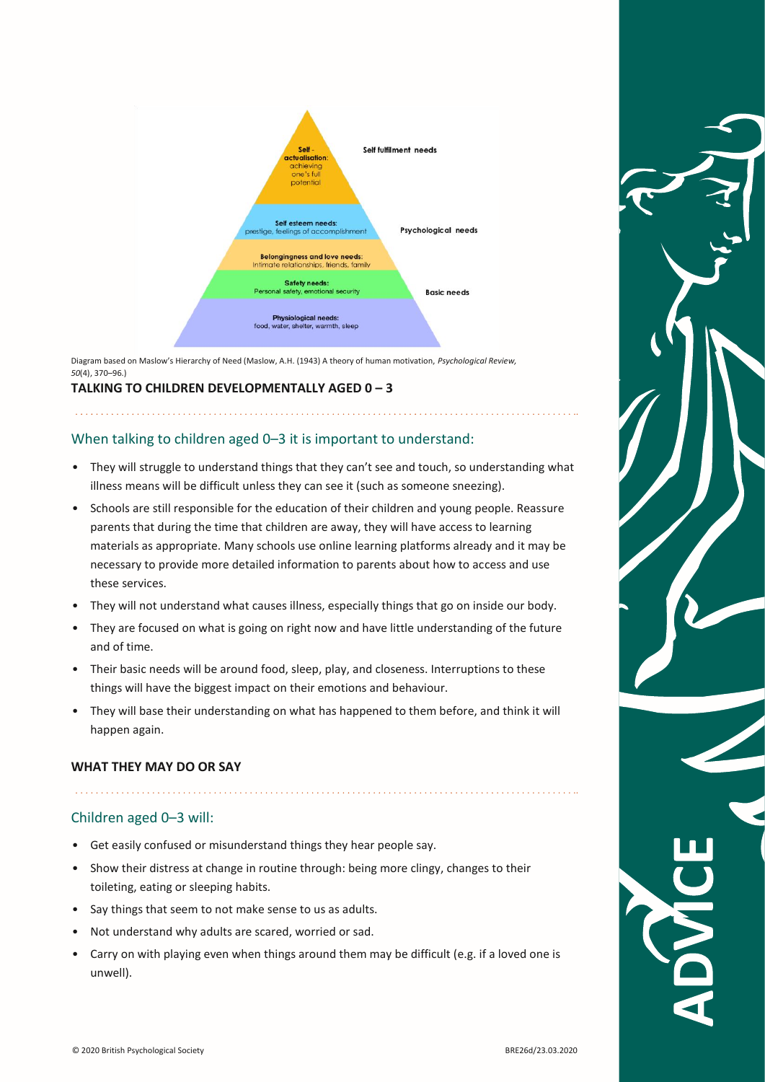

Diagram based on Maslow's Hierarchy of Need (Maslow, A.H. (1943) A theory of human motivation, *Psychological Review, 50*(4), 370–96.)

#### **TALKING TO CHILDREN DEVELOPMENTALLY AGED 0 – 3**

# When talking to children aged 0–3 it is important to understand:

- They will struggle to understand things that they can't see and touch, so understanding what illness means will be difficult unless they can see it (such as someone sneezing).
- Schools are still responsible for the education of their children and young people. Reassure parents that during the time that children are away, they will have access to learning materials as appropriate. Many schools use online learning platforms already and it may be necessary to provide more detailed information to parents about how to access and use these services.
- They will not understand what causes illness, especially things that go on inside our body.
- They are focused on what is going on right now and have little understanding of the future and of time.
- Their basic needs will be around food, sleep, play, and closeness. Interruptions to these things will have the biggest impact on their emotions and behaviour.
- They will base their understanding on what has happened to them before, and think it will happen again.

## **WHAT THEY MAY DO OR SAY**

## Children aged 0–3 will:

- Get easily confused or misunderstand things they hear people say.
- Show their distress at change in routine through: being more clingy, changes to their toileting, eating or sleeping habits.
- Say things that seem to not make sense to us as adults.
- Not understand why adults are scared, worried or sad.
- Carry on with playing even when things around them may be difficult (e.g. if a loved one is unwell).

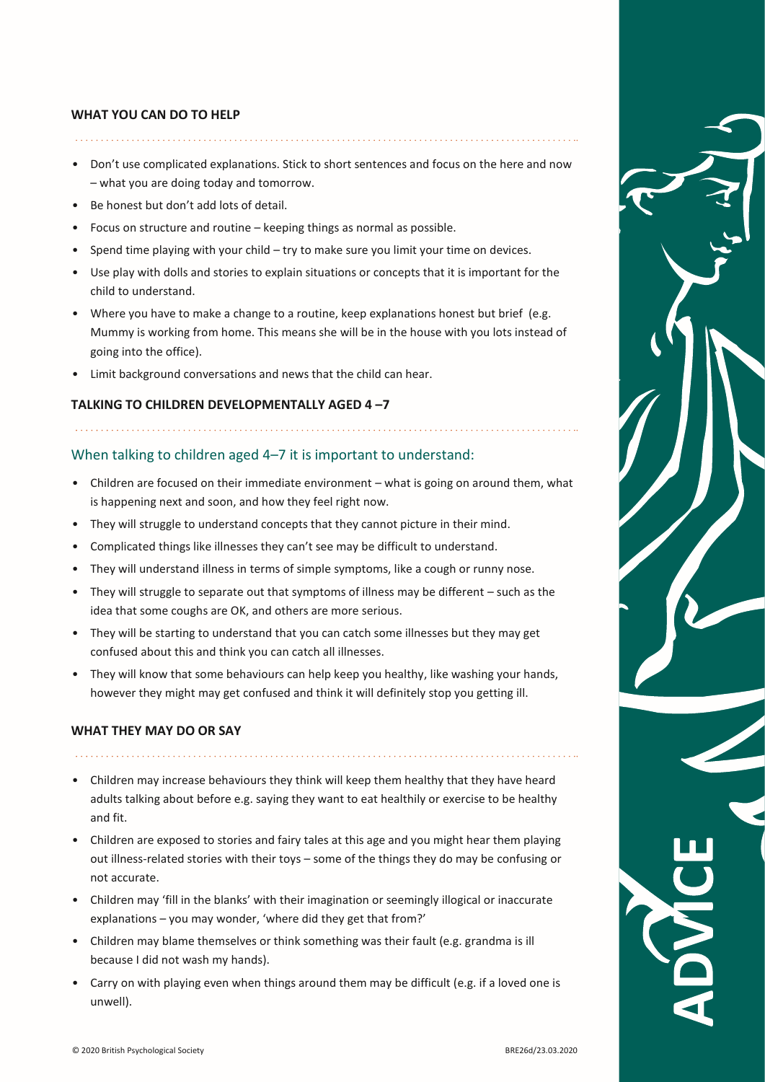#### **WHAT YOU CAN DO TO HELP**

- Don't use complicated explanations. Stick to short sentences and focus on the here and now – what you are doing today and tomorrow.
- Be honest but don't add lots of detail.
- Focus on structure and routine keeping things as normal as possible.
- Spend time playing with your child try to make sure you limit your time on devices.
- Use play with dolls and stories to explain situations or concepts that it is important for the child to understand.
- Where you have to make a change to a routine, keep explanations honest but brief (e.g. Mummy is working from home. This means she will be in the house with you lots instead of going into the office).
- Limit background conversations and news that the child can hear.

## **TALKING TO CHILDREN DEVELOPMENTALLY AGED 4 –7**

# When talking to children aged 4–7 it is important to understand:

- Children are focused on their immediate environment what is going on around them, what is happening next and soon, and how they feel right now.
- They will struggle to understand concepts that they cannot picture in their mind.
- Complicated things like illnesses they can't see may be difficult to understand.
- They will understand illness in terms of simple symptoms, like a cough or runny nose.
- They will struggle to separate out that symptoms of illness may be different such as the idea that some coughs are OK, and others are more serious.
- They will be starting to understand that you can catch some illnesses but they may get confused about this and think you can catch all illnesses.
- They will know that some behaviours can help keep you healthy, like washing your hands, however they might may get confused and think it will definitely stop you getting ill.

## **WHAT THEY MAY DO OR SAY**

• Children may increase behaviours they think will keep them healthy that they have heard adults talking about before e.g. saying they want to eat healthily or exercise to be healthy and fit.

- Children are exposed to stories and fairy tales at this age and you might hear them playing out illness-related stories with their toys – some of the things they do may be confusing or not accurate.
- Children may 'fill in the blanks' with their imagination or seemingly illogical or inaccurate explanations – you may wonder, 'where did they get that from?'
- Children may blame themselves or think something was their fault (e.g. grandma is ill because I did not wash my hands).
- Carry on with playing even when things around them may be difficult (e.g. if a loved one is unwell).

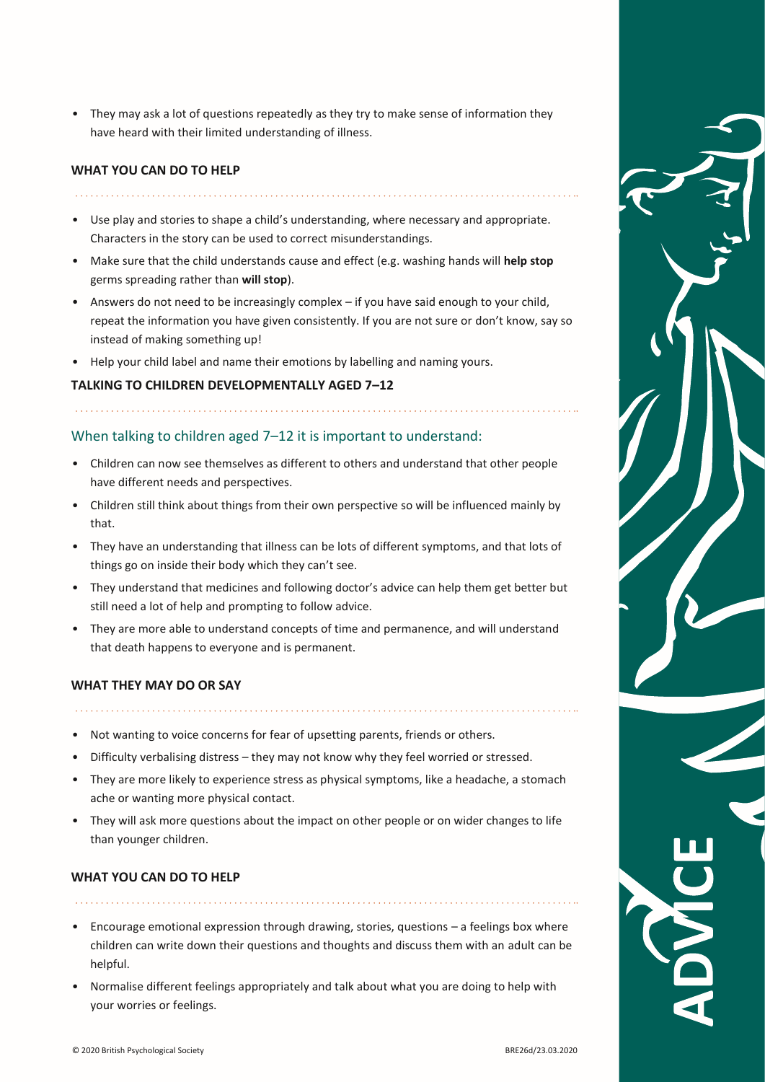• They may ask a lot of questions repeatedly as they try to make sense of information they have heard with their limited understanding of illness.

#### **WHAT YOU CAN DO TO HELP**

• Use play and stories to shape a child's understanding, where necessary and appropriate. Characters in the story can be used to correct misunderstandings.

- Make sure that the child understands cause and effect (e.g. washing hands will **help stop** germs spreading rather than **will stop**).
- Answers do not need to be increasingly complex if you have said enough to your child, repeat the information you have given consistently. If you are not sure or don't know, say so instead of making something up!
- Help your child label and name their emotions by labelling and naming yours.

#### **TALKING TO CHILDREN DEVELOPMENTALLY AGED 7–12**

## When talking to children aged 7–12 it is important to understand:

- Children can now see themselves as different to others and understand that other people have different needs and perspectives.
- Children still think about things from their own perspective so will be influenced mainly by that.
- They have an understanding that illness can be lots of different symptoms, and that lots of things go on inside their body which they can't see.
- They understand that medicines and following doctor's advice can help them get better but still need a lot of help and prompting to follow advice.
- They are more able to understand concepts of time and permanence, and will understand that death happens to everyone and is permanent.

#### **WHAT THEY MAY DO OR SAY**

- Not wanting to voice concerns for fear of upsetting parents, friends or others.
- Difficulty verbalising distress they may not know why they feel worried or stressed.
- They are more likely to experience stress as physical symptoms, like a headache, a stomach ache or wanting more physical contact.
- They will ask more questions about the impact on other people or on wider changes to life than younger children.

#### **WHAT YOU CAN DO TO HELP**

- Encourage emotional expression through drawing, stories, questions a feelings box where children can write down their questions and thoughts and discuss them with an adult can be helpful.
- Normalise different feelings appropriately and talk about what you are doing to help with your worries or feelings.

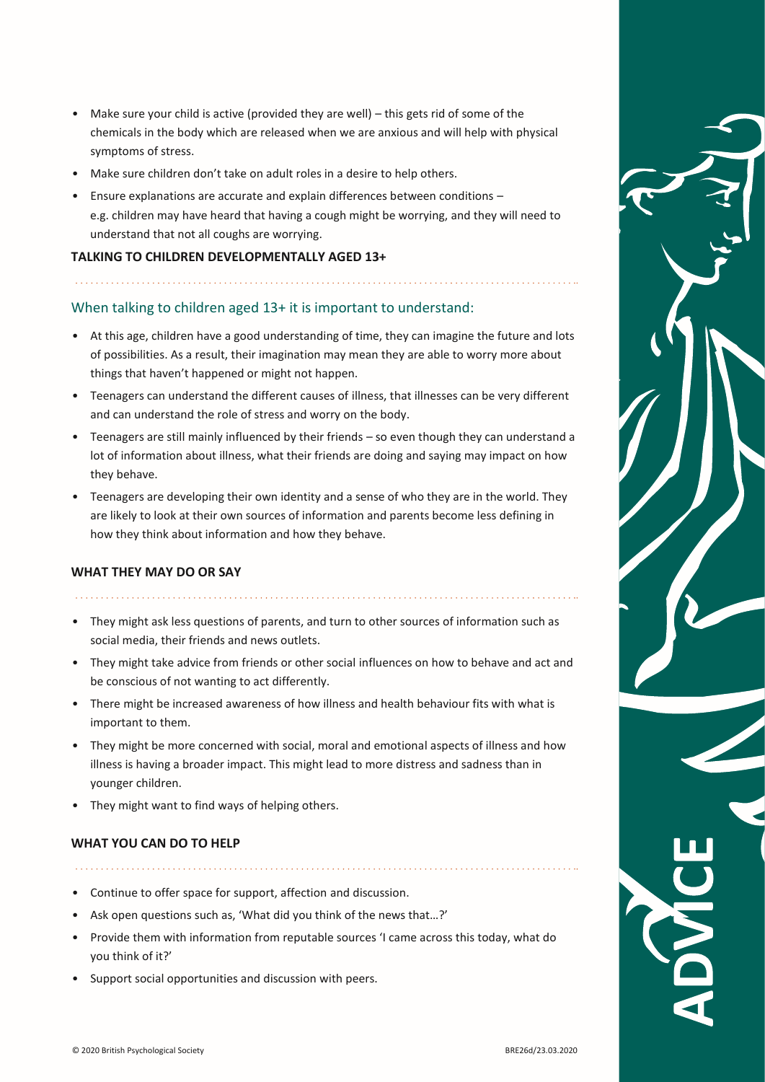- Make sure your child is active (provided they are well) this gets rid of some of the chemicals in the body which are released when we are anxious and will help with physical symptoms of stress.
- Make sure children don't take on adult roles in a desire to help others.
- Ensure explanations are accurate and explain differences between conditions e.g. children may have heard that having a cough might be worrying, and they will need to understand that not all coughs are worrying.

# **TALKING TO CHILDREN DEVELOPMENTALLY AGED 13+**

# When talking to children aged 13+ it is important to understand:

- At this age, children have a good understanding of time, they can imagine the future and lots of possibilities. As a result, their imagination may mean they are able to worry more about things that haven't happened or might not happen.
- Teenagers can understand the different causes of illness, that illnesses can be very different and can understand the role of stress and worry on the body.
- Teenagers are still mainly influenced by their friends so even though they can understand a lot of information about illness, what their friends are doing and saying may impact on how they behave.
- Teenagers are developing their own identity and a sense of who they are in the world. They are likely to look at their own sources of information and parents become less defining in how they think about information and how they behave.

# **WHAT THEY MAY DO OR SAY**

• They might ask less questions of parents, and turn to other sources of information such as social media, their friends and news outlets.

- They might take advice from friends or other social influences on how to behave and act and be conscious of not wanting to act differently.
- There might be increased awareness of how illness and health behaviour fits with what is important to them.
- They might be more concerned with social, moral and emotional aspects of illness and how illness is having a broader impact. This might lead to more distress and sadness than in younger children.
- They might want to find ways of helping others.

# **WHAT YOU CAN DO TO HELP**

- Continue to offer space for support, affection and discussion.
- Ask open questions such as, 'What did you think of the news that…?'

- Provide them with information from reputable sources 'I came across this today, what do you think of it?'
- Support social opportunities and discussion with peers.